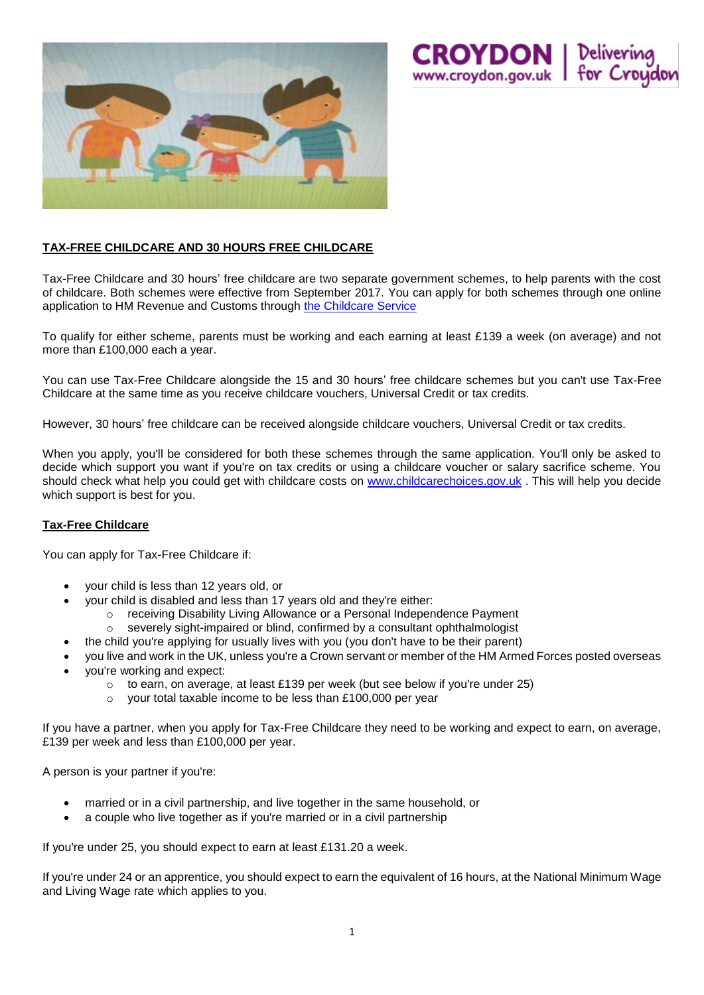

## **TAX-FREE CHILDCARE AND 30 HOURS FREE CHILDCARE**

Tax-Free Childcare and 30 hours' free childcare are two separate government schemes, to help parents with the cost of childcare. Both schemes were effective from September 2017. You can apply for both schemes through one online application to HM Revenue and Customs through [the Childcare Service](https://childcare-support.tax.service.gov.uk/par/app/applynow)

**CROYDON** | Deliveri

To qualify for either scheme, parents must be working and each earning at least £139 a week (on average) and not more than £100,000 each a year.

You can use Tax-Free Childcare alongside the 15 and 30 hours' free childcare schemes but you can't use Tax-Free Childcare at the same time as you receive childcare vouchers, Universal Credit or tax credits.

However, 30 hours' free childcare can be received alongside childcare vouchers, Universal Credit or tax credits.

When you apply, you'll be considered for both these schemes through the same application. You'll only be asked to decide which support you want if you're on tax credits or using a childcare voucher or salary sacrifice scheme. You should check what help you could get with childcare costs on [www.childcarechoices.gov.uk](http://www.childcarechoices.gov.uk/) . This will help you decide which support is best for you.

## **Tax-Free Childcare**

You can apply for Tax-Free Childcare if:

- your child is less than 12 years old, or
	- your child is disabled and less than 17 years old and they're either:
		- o receiving Disability Living Allowance or a Personal Independence Payment
		- o severely sight-impaired or blind, confirmed by a consultant ophthalmologist
	- the child you're applying for usually lives with you (you don't have to be their parent)
- you live and work in the UK, unless you're a Crown servant or member of the HM Armed Forces posted overseas
- you're working and expect:
	- $\circ$  to earn, on average, at least £139 per week (but see below if you're under 25)
	- o your total taxable income to be less than £100,000 per year

If you have a partner, when you apply for Tax-Free Childcare they need to be working and expect to earn, on average, £139 per week and less than £100,000 per year.

A person is your partner if you're:

- married or in a civil partnership, and live together in the same household, or
- a couple who live together as if you're married or in a civil partnership

If you're under 25, you should expect to earn at least £131.20 a week.

If you're under 24 or an apprentice, you should expect to earn the equivalent of 16 hours, at the [National Minimum Wage](https://www.gov.uk/national-minimum-wage/employers-and-the-minimum-wage)  [and Living Wage rate](https://www.gov.uk/national-minimum-wage/employers-and-the-minimum-wage) which applies to you.